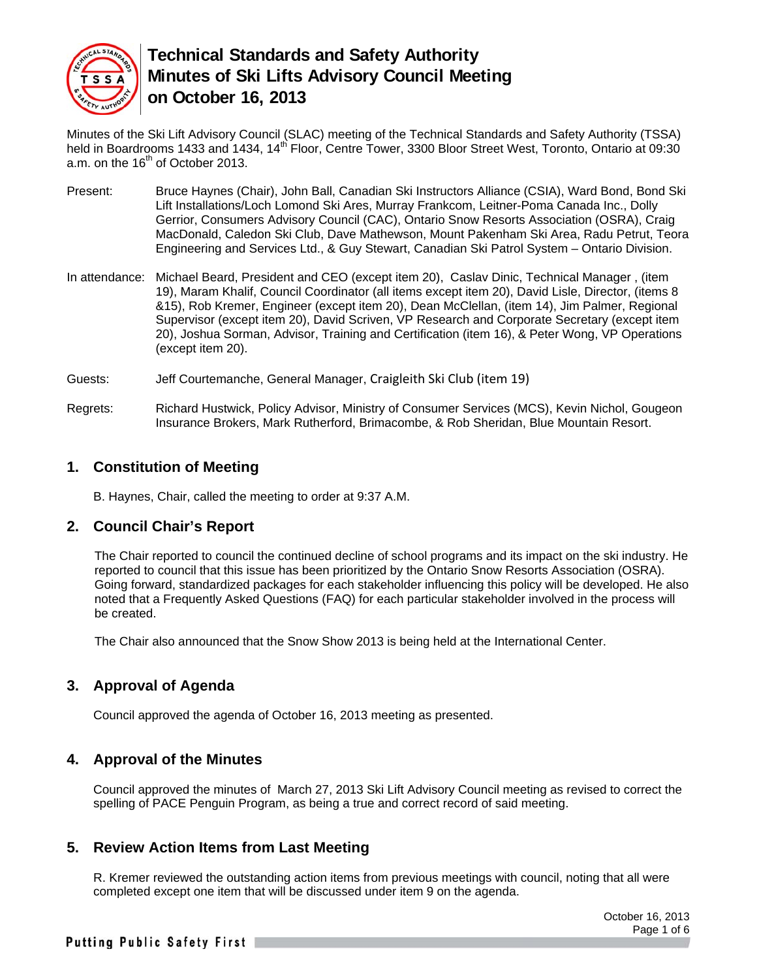

Minutes of the Ski Lift Advisory Council (SLAC) meeting of the Technical Standards and Safety Authority (TSSA) held in Boardrooms 1433 and 1434, 14<sup>th</sup> Floor, Centre Tower, 3300 Bloor Street West, Toronto, Ontario at 09:30 a.m. on the  $16<sup>th</sup>$  of October 2013.

- Present: Bruce Haynes (Chair), John Ball, Canadian Ski Instructors Alliance (CSIA), Ward Bond, Bond Ski Lift Installations/Loch Lomond Ski Ares, Murray Frankcom, Leitner-Poma Canada Inc., Dolly Gerrior, Consumers Advisory Council (CAC), Ontario Snow Resorts Association (OSRA), Craig MacDonald, Caledon Ski Club, Dave Mathewson, Mount Pakenham Ski Area, Radu Petrut, Teora Engineering and Services Ltd., & Guy Stewart, Canadian Ski Patrol System – Ontario Division.
- In attendance: Michael Beard, President and CEO (except item 20), Caslav Dinic, Technical Manager , (item 19), Maram Khalif, Council Coordinator (all items except item 20), David Lisle, Director, (items 8 &15), Rob Kremer, Engineer (except item 20), Dean McClellan, (item 14), Jim Palmer, Regional Supervisor (except item 20), David Scriven, VP Research and Corporate Secretary (except item 20), Joshua Sorman, Advisor, Training and Certification (item 16), & Peter Wong, VP Operations (except item 20).
- Guests: Jeff Courtemanche, General Manager, Craigleith Ski Club (item 19)
- Regrets: Richard Hustwick, Policy Advisor, Ministry of Consumer Services (MCS), Kevin Nichol, Gougeon Insurance Brokers, Mark Rutherford, Brimacombe, & Rob Sheridan, Blue Mountain Resort.

#### **1. Constitution of Meeting**

B. Haynes, Chair, called the meeting to order at 9:37 A.M.

#### **2. Council Chair's Report**

The Chair reported to council the continued decline of school programs and its impact on the ski industry. He reported to council that this issue has been prioritized by the Ontario Snow Resorts Association (OSRA). Going forward, standardized packages for each stakeholder influencing this policy will be developed. He also noted that a Frequently Asked Questions (FAQ) for each particular stakeholder involved in the process will be created.

The Chair also announced that the Snow Show 2013 is being held at the International Center.

#### **3. Approval of Agenda**

Council approved the agenda of October 16, 2013 meeting as presented.

#### **4. Approval of the Minutes**

Council approved the minutes of March 27, 2013 Ski Lift Advisory Council meeting as revised to correct the spelling of PACE Penguin Program, as being a true and correct record of said meeting.

#### **5. Review Action Items from Last Meeting**

R. Kremer reviewed the outstanding action items from previous meetings with council, noting that all were completed except one item that will be discussed under item 9 on the agenda.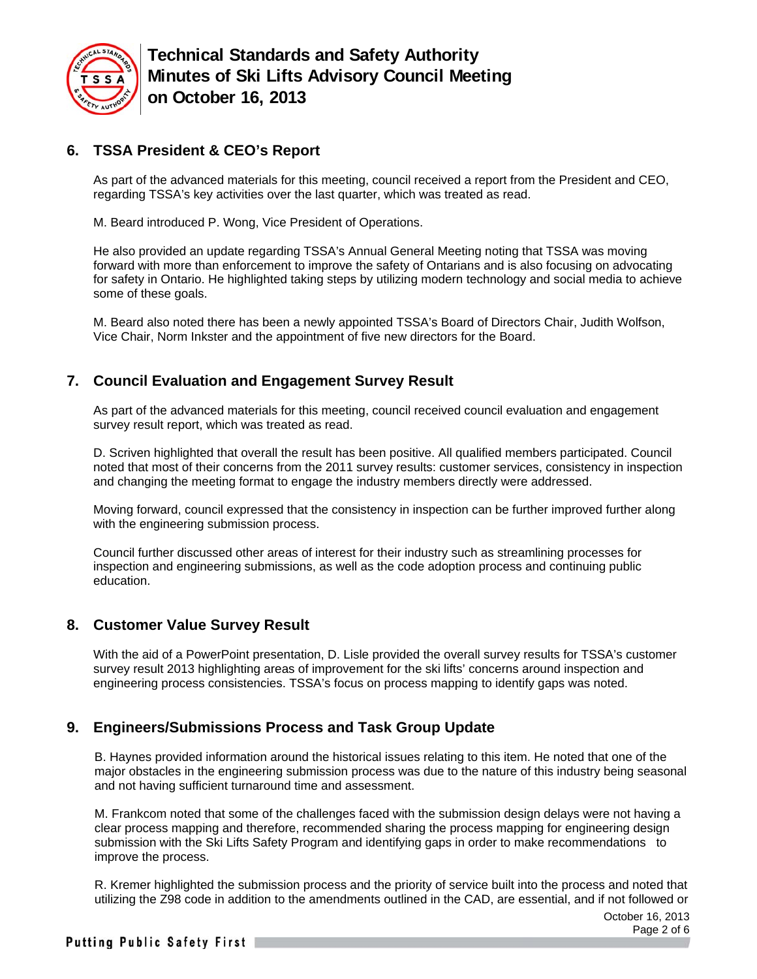

## **6. TSSA President & CEO's Report**

As part of the advanced materials for this meeting, council received a report from the President and CEO, regarding TSSA's key activities over the last quarter, which was treated as read.

M. Beard introduced P. Wong, Vice President of Operations.

He also provided an update regarding TSSA's Annual General Meeting noting that TSSA was moving forward with more than enforcement to improve the safety of Ontarians and is also focusing on advocating for safety in Ontario. He highlighted taking steps by utilizing modern technology and social media to achieve some of these goals.

M. Beard also noted there has been a newly appointed TSSA's Board of Directors Chair, Judith Wolfson, Vice Chair, Norm Inkster and the appointment of five new directors for the Board.

## **7. Council Evaluation and Engagement Survey Result**

As part of the advanced materials for this meeting, council received council evaluation and engagement survey result report, which was treated as read.

D. Scriven highlighted that overall the result has been positive. All qualified members participated. Council noted that most of their concerns from the 2011 survey results: customer services, consistency in inspection and changing the meeting format to engage the industry members directly were addressed.

Moving forward, council expressed that the consistency in inspection can be further improved further along with the engineering submission process.

Council further discussed other areas of interest for their industry such as streamlining processes for inspection and engineering submissions, as well as the code adoption process and continuing public education.

#### **8. Customer Value Survey Result**

With the aid of a PowerPoint presentation, D. Lisle provided the overall survey results for TSSA's customer survey result 2013 highlighting areas of improvement for the ski lifts' concerns around inspection and engineering process consistencies. TSSA's focus on process mapping to identify gaps was noted.

## **9. Engineers/Submissions Process and Task Group Update**

B. Haynes provided information around the historical issues relating to this item. He noted that one of the major obstacles in the engineering submission process was due to the nature of this industry being seasonal and not having sufficient turnaround time and assessment.

M. Frankcom noted that some of the challenges faced with the submission design delays were not having a clear process mapping and therefore, recommended sharing the process mapping for engineering design submission with the Ski Lifts Safety Program and identifying gaps in order to make recommendations to improve the process.

R. Kremer highlighted the submission process and the priority of service built into the process and noted that utilizing the Z98 code in addition to the amendments outlined in the CAD, are essential, and if not followed or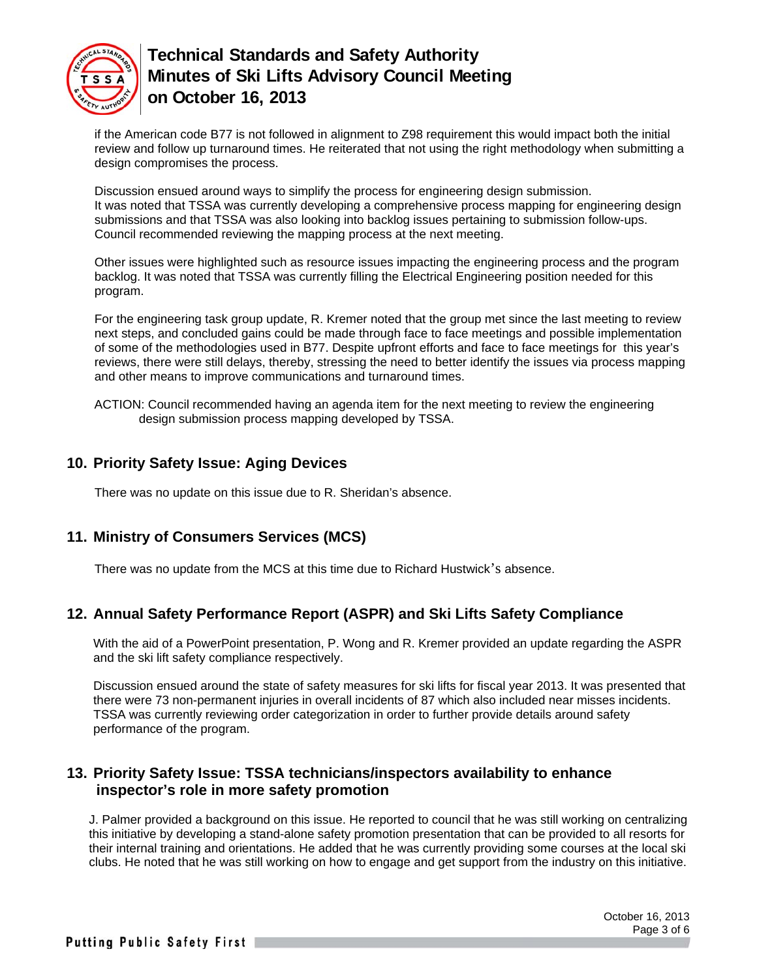

if the American code B77 is not followed in alignment to Z98 requirement this would impact both the initial review and follow up turnaround times. He reiterated that not using the right methodology when submitting a design compromises the process.

Discussion ensued around ways to simplify the process for engineering design submission. It was noted that TSSA was currently developing a comprehensive process mapping for engineering design submissions and that TSSA was also looking into backlog issues pertaining to submission follow-ups. Council recommended reviewing the mapping process at the next meeting.

Other issues were highlighted such as resource issues impacting the engineering process and the program backlog. It was noted that TSSA was currently filling the Electrical Engineering position needed for this program.

For the engineering task group update, R. Kremer noted that the group met since the last meeting to review next steps, and concluded gains could be made through face to face meetings and possible implementation of some of the methodologies used in B77. Despite upfront efforts and face to face meetings for this year's reviews, there were still delays, thereby, stressing the need to better identify the issues via process mapping and other means to improve communications and turnaround times.

ACTION: Council recommended having an agenda item for the next meeting to review the engineering design submission process mapping developed by TSSA.

## **10. Priority Safety Issue: Aging Devices**

There was no update on this issue due to R. Sheridan's absence.

## **11. Ministry of Consumers Services (MCS)**

There was no update from the MCS at this time due to Richard Hustwick's absence.

## **12. Annual Safety Performance Report (ASPR) and Ski Lifts Safety Compliance**

With the aid of a PowerPoint presentation, P. Wong and R. Kremer provided an update regarding the ASPR and the ski lift safety compliance respectively.

Discussion ensued around the state of safety measures for ski lifts for fiscal year 2013. It was presented that there were 73 non-permanent injuries in overall incidents of 87 which also included near misses incidents. TSSA was currently reviewing order categorization in order to further provide details around safety performance of the program.

### **13. Priority Safety Issue: TSSA technicians/inspectors availability to enhance inspector's role in more safety promotion**

J. Palmer provided a background on this issue. He reported to council that he was still working on centralizing this initiative by developing a stand-alone safety promotion presentation that can be provided to all resorts for their internal training and orientations. He added that he was currently providing some courses at the local ski clubs. He noted that he was still working on how to engage and get support from the industry on this initiative.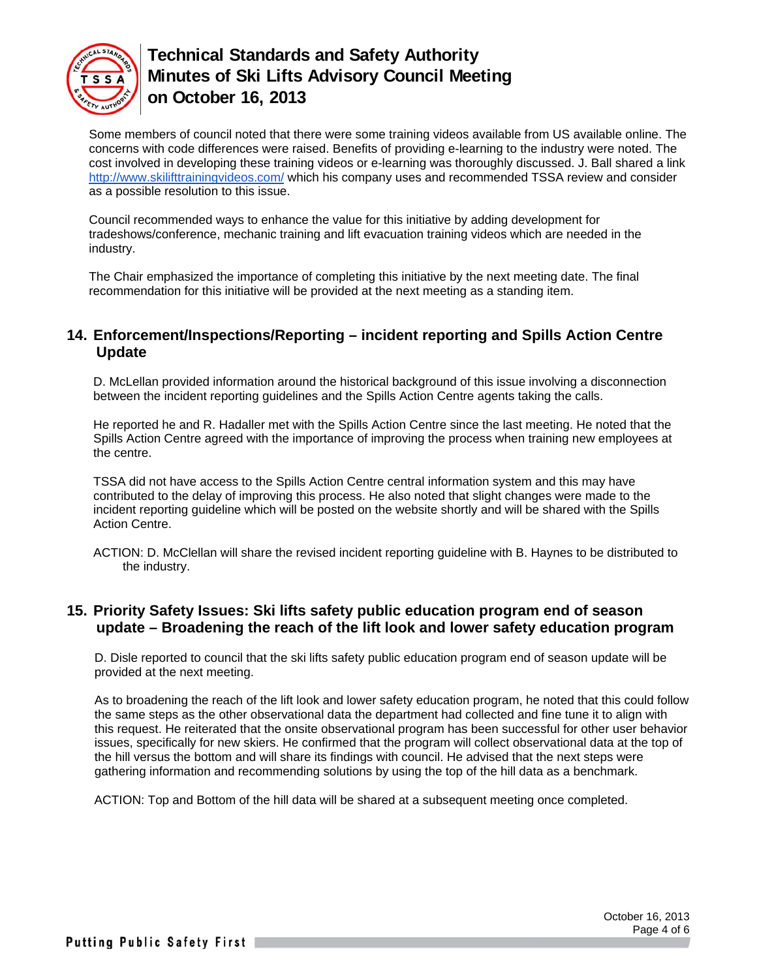

Some members of council noted that there were some training videos available from US available online. The concerns with code differences were raised. Benefits of providing e-learning to the industry were noted. The cost involved in developing these training videos or e-learning was thoroughly discussed. J. Ball shared a link http://www.skilifttrainingvideos.com/ which his company uses and recommended TSSA review and consider as a possible resolution to this issue.

Council recommended ways to enhance the value for this initiative by adding development for tradeshows/conference, mechanic training and lift evacuation training videos which are needed in the industry.

The Chair emphasized the importance of completing this initiative by the next meeting date. The final recommendation for this initiative will be provided at the next meeting as a standing item.

### **14. Enforcement/Inspections/Reporting – incident reporting and Spills Action Centre Update**

D. McLellan provided information around the historical background of this issue involving a disconnection between the incident reporting guidelines and the Spills Action Centre agents taking the calls.

He reported he and R. Hadaller met with the Spills Action Centre since the last meeting. He noted that the Spills Action Centre agreed with the importance of improving the process when training new employees at the centre.

TSSA did not have access to the Spills Action Centre central information system and this may have contributed to the delay of improving this process. He also noted that slight changes were made to the incident reporting guideline which will be posted on the website shortly and will be shared with the Spills Action Centre.

ACTION: D. McClellan will share the revised incident reporting guideline with B. Haynes to be distributed to the industry.

### **15. Priority Safety Issues: Ski lifts safety public education program end of season update – Broadening the reach of the lift look and lower safety education program**

D. Disle reported to council that the ski lifts safety public education program end of season update will be provided at the next meeting.

As to broadening the reach of the lift look and lower safety education program, he noted that this could follow the same steps as the other observational data the department had collected and fine tune it to align with this request. He reiterated that the onsite observational program has been successful for other user behavior issues, specifically for new skiers. He confirmed that the program will collect observational data at the top of the hill versus the bottom and will share its findings with council. He advised that the next steps were gathering information and recommending solutions by using the top of the hill data as a benchmark.

ACTION: Top and Bottom of the hill data will be shared at a subsequent meeting once completed.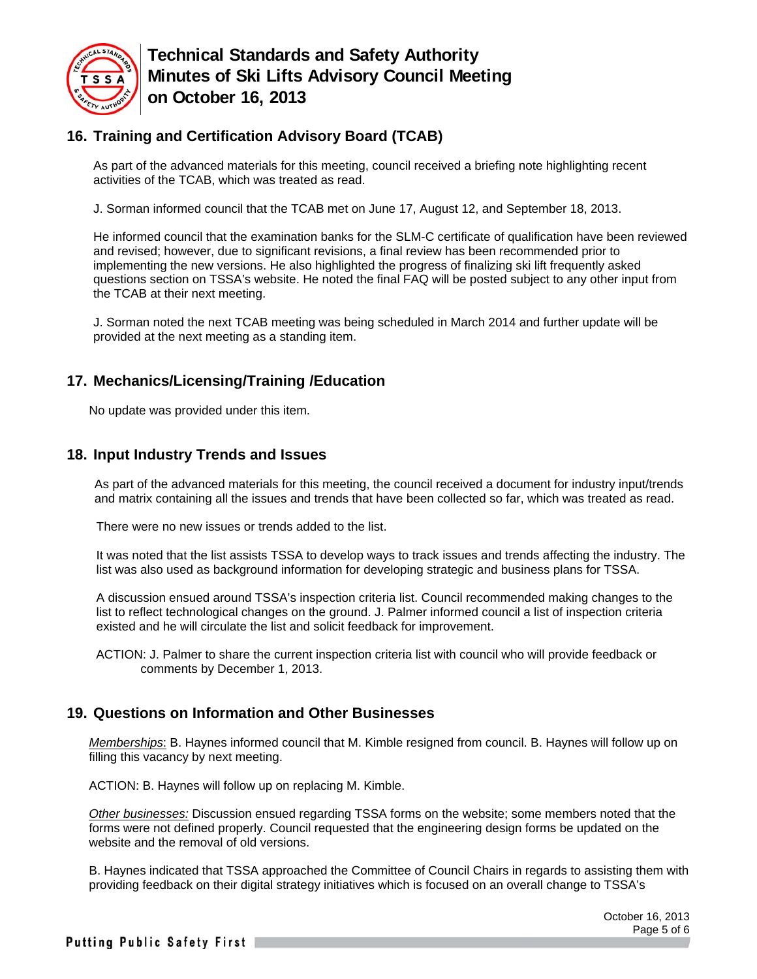

## **16. Training and Certification Advisory Board (TCAB)**

As part of the advanced materials for this meeting, council received a briefing note highlighting recent activities of the TCAB, which was treated as read.

J. Sorman informed council that the TCAB met on June 17, August 12, and September 18, 2013.

He informed council that the examination banks for the SLM-C certificate of qualification have been reviewed and revised; however, due to significant revisions, a final review has been recommended prior to implementing the new versions. He also highlighted the progress of finalizing ski lift frequently asked questions section on TSSA's website. He noted the final FAQ will be posted subject to any other input from the TCAB at their next meeting.

J. Sorman noted the next TCAB meeting was being scheduled in March 2014 and further update will be provided at the next meeting as a standing item.

## **17. Mechanics/Licensing/Training /Education**

No update was provided under this item.

### **18. Input Industry Trends and Issues**

As part of the advanced materials for this meeting, the council received a document for industry input/trends and matrix containing all the issues and trends that have been collected so far, which was treated as read.

There were no new issues or trends added to the list.

It was noted that the list assists TSSA to develop ways to track issues and trends affecting the industry. The list was also used as background information for developing strategic and business plans for TSSA.

A discussion ensued around TSSA's inspection criteria list. Council recommended making changes to the list to reflect technological changes on the ground. J. Palmer informed council a list of inspection criteria existed and he will circulate the list and solicit feedback for improvement.

ACTION: J. Palmer to share the current inspection criteria list with council who will provide feedback or comments by December 1, 2013.

## **19. Questions on Information and Other Businesses**

*Memberships*: B. Haynes informed council that M. Kimble resigned from council. B. Haynes will follow up on filling this vacancy by next meeting.

ACTION: B. Haynes will follow up on replacing M. Kimble.

*Other businesses:* Discussion ensued regarding TSSA forms on the website; some members noted that the forms were not defined properly. Council requested that the engineering design forms be updated on the website and the removal of old versions.

B. Haynes indicated that TSSA approached the Committee of Council Chairs in regards to assisting them with providing feedback on their digital strategy initiatives which is focused on an overall change to TSSA's